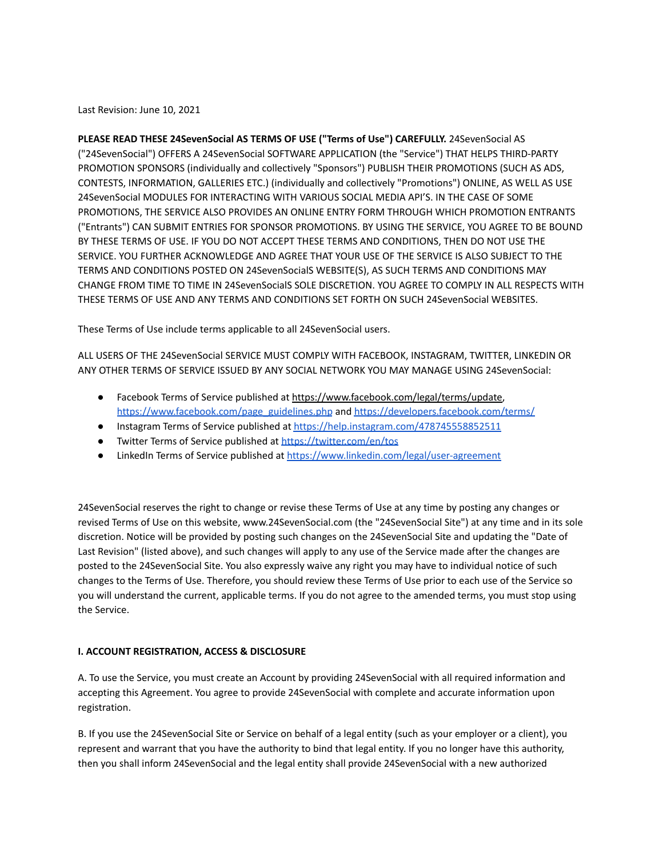Last Revision: June 10, 2021

**PLEASE READ THESE 24SevenSocial AS TERMS OF USE ("Terms of Use") CAREFULLY.** 24SevenSocial AS ("24SevenSocial") OFFERS A 24SevenSocial SOFTWARE APPLICATION (the "Service") THAT HELPS THIRD-PARTY PROMOTION SPONSORS (individually and collectively "Sponsors") PUBLISH THEIR PROMOTIONS (SUCH AS ADS, CONTESTS, INFORMATION, GALLERIES ETC.) (individually and collectively "Promotions") ONLINE, AS WELL AS USE 24SevenSocial MODULES FOR INTERACTING WITH VARIOUS SOCIAL MEDIA API'S. IN THE CASE OF SOME PROMOTIONS, THE SERVICE ALSO PROVIDES AN ONLINE ENTRY FORM THROUGH WHICH PROMOTION ENTRANTS ("Entrants") CAN SUBMIT ENTRIES FOR SPONSOR PROMOTIONS. BY USING THE SERVICE, YOU AGREE TO BE BOUND BY THESE TERMS OF USE. IF YOU DO NOT ACCEPT THESE TERMS AND CONDITIONS, THEN DO NOT USE THE SERVICE. YOU FURTHER ACKNOWLEDGE AND AGREE THAT YOUR USE OF THE SERVICE IS ALSO SUBJECT TO THE TERMS AND CONDITIONS POSTED ON 24SevenSocialS WEBSITE(S), AS SUCH TERMS AND CONDITIONS MAY CHANGE FROM TIME TO TIME IN 24SevenSocialS SOLE DISCRETION. YOU AGREE TO COMPLY IN ALL RESPECTS WITH THESE TERMS OF USE AND ANY TERMS AND CONDITIONS SET FORTH ON SUCH 24SevenSocial WEBSITES.

These Terms of Use include terms applicable to all 24SevenSocial users.

ALL USERS OF THE 24SevenSocial SERVICE MUST COMPLY WITH FACEBOOK, INSTAGRAM, TWITTER, LINKEDIN OR ANY OTHER TERMS OF SERVICE ISSUED BY ANY SOCIAL NETWORK YOU MAY MANAGE USING 24SevenSocial:

- Facebook Terms of Service published at <https://www.facebook.com/legal/terms/update>, [https://www.facebook.com/page\\_guidelines.php](https://www.facebook.com/page_guidelines.php) and <https://developers.facebook.com/terms/>
- Instagram Terms of Service published at <https://help.instagram.com/478745558852511>
- Twitter Terms of Service published at <https://twitter.com/en/tos>
- LinkedIn Terms of Service published at <https://www.linkedin.com/legal/user-agreement>

24SevenSocial reserves the right to change or revise these Terms of Use at any time by posting any changes or revised Terms of Use on this website, www.24SevenSocial.com (the "24SevenSocial Site") at any time and in its sole discretion. Notice will be provided by posting such changes on the 24SevenSocial Site and updating the "Date of Last Revision" (listed above), and such changes will apply to any use of the Service made after the changes are posted to the 24SevenSocial Site. You also expressly waive any right you may have to individual notice of such changes to the Terms of Use. Therefore, you should review these Terms of Use prior to each use of the Service so you will understand the current, applicable terms. If you do not agree to the amended terms, you must stop using the Service.

# **I. ACCOUNT REGISTRATION, ACCESS & DISCLOSURE**

A. To use the Service, you must create an Account by providing 24SevenSocial with all required information and accepting this Agreement. You agree to provide 24SevenSocial with complete and accurate information upon registration.

B. If you use the 24SevenSocial Site or Service on behalf of a legal entity (such as your employer or a client), you represent and warrant that you have the authority to bind that legal entity. If you no longer have this authority, then you shall inform 24SevenSocial and the legal entity shall provide 24SevenSocial with a new authorized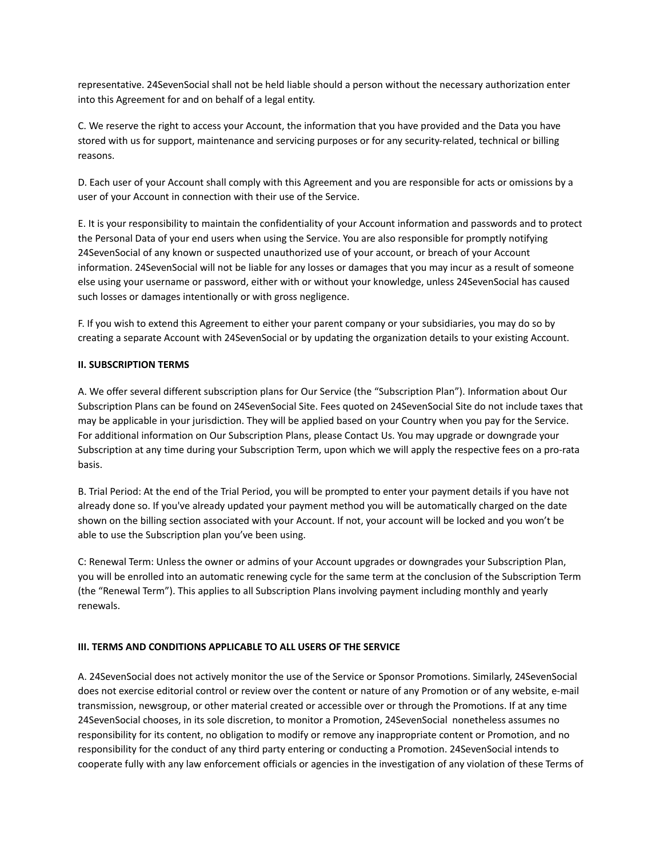representative. 24SevenSocial shall not be held liable should a person without the necessary authorization enter into this Agreement for and on behalf of a legal entity.

C. We reserve the right to access your Account, the information that you have provided and the Data you have stored with us for support, maintenance and servicing purposes or for any security-related, technical or billing reasons.

D. Each user of your Account shall comply with this Agreement and you are responsible for acts or omissions by a user of your Account in connection with their use of the Service.

E. It is your responsibility to maintain the confidentiality of your Account information and passwords and to protect the Personal Data of your end users when using the Service. You are also responsible for promptly notifying 24SevenSocial of any known or suspected unauthorized use of your account, or breach of your Account information. 24SevenSocial will not be liable for any losses or damages that you may incur as a result of someone else using your username or password, either with or without your knowledge, unless 24SevenSocial has caused such losses or damages intentionally or with gross negligence.

F. If you wish to extend this Agreement to either your parent company or your subsidiaries, you may do so by creating a separate Account with 24SevenSocial or by updating the organization details to your existing Account.

## **II. SUBSCRIPTION TERMS**

A. We offer several different subscription plans for Our Service (the "Subscription Plan"). Information about Our Subscription Plans can be found on 24SevenSocial Site. Fees quoted on 24SevenSocial Site do not include taxes that may be applicable in your jurisdiction. They will be applied based on your Country when you pay for the Service. For additional information on Our Subscription Plans, please Contact Us. You may upgrade or downgrade your Subscription at any time during your Subscription Term, upon which we will apply the respective fees on a pro-rata basis.

B. Trial Period: At the end of the Trial Period, you will be prompted to enter your payment details if you have not already done so. If you've already updated your payment method you will be automatically charged on the date shown on the billing section associated with your Account. If not, your account will be locked and you won't be able to use the Subscription plan you've been using.

C: Renewal Term: Unless the owner or admins of your Account upgrades or downgrades your Subscription Plan, you will be enrolled into an automatic renewing cycle for the same term at the conclusion of the Subscription Term (the "Renewal Term"). This applies to all Subscription Plans involving payment including monthly and yearly renewals.

#### **III. TERMS AND CONDITIONS APPLICABLE TO ALL USERS OF THE SERVICE**

A. 24SevenSocial does not actively monitor the use of the Service or Sponsor Promotions. Similarly, 24SevenSocial does not exercise editorial control or review over the content or nature of any Promotion or of any website, e-mail transmission, newsgroup, or other material created or accessible over or through the Promotions. If at any time 24SevenSocial chooses, in its sole discretion, to monitor a Promotion, 24SevenSocial nonetheless assumes no responsibility for its content, no obligation to modify or remove any inappropriate content or Promotion, and no responsibility for the conduct of any third party entering or conducting a Promotion. 24SevenSocial intends to cooperate fully with any law enforcement officials or agencies in the investigation of any violation of these Terms of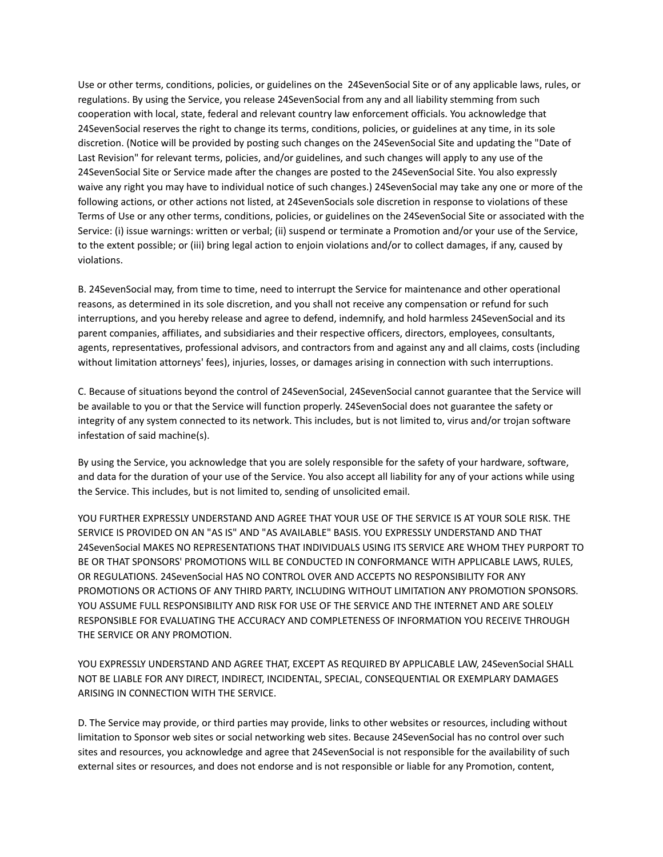Use or other terms, conditions, policies, or guidelines on the 24SevenSocial Site or of any applicable laws, rules, or regulations. By using the Service, you release 24SevenSocial from any and all liability stemming from such cooperation with local, state, federal and relevant country law enforcement officials. You acknowledge that 24SevenSocial reserves the right to change its terms, conditions, policies, or guidelines at any time, in its sole discretion. (Notice will be provided by posting such changes on the 24SevenSocial Site and updating the "Date of Last Revision" for relevant terms, policies, and/or guidelines, and such changes will apply to any use of the 24SevenSocial Site or Service made after the changes are posted to the 24SevenSocial Site. You also expressly waive any right you may have to individual notice of such changes.) 24SevenSocial may take any one or more of the following actions, or other actions not listed, at 24SevenSocials sole discretion in response to violations of these Terms of Use or any other terms, conditions, policies, or guidelines on the 24SevenSocial Site or associated with the Service: (i) issue warnings: written or verbal; (ii) suspend or terminate a Promotion and/or your use of the Service, to the extent possible; or (iii) bring legal action to enjoin violations and/or to collect damages, if any, caused by violations.

B. 24SevenSocial may, from time to time, need to interrupt the Service for maintenance and other operational reasons, as determined in its sole discretion, and you shall not receive any compensation or refund for such interruptions, and you hereby release and agree to defend, indemnify, and hold harmless 24SevenSocial and its parent companies, affiliates, and subsidiaries and their respective officers, directors, employees, consultants, agents, representatives, professional advisors, and contractors from and against any and all claims, costs (including without limitation attorneys' fees), injuries, losses, or damages arising in connection with such interruptions.

C. Because of situations beyond the control of 24SevenSocial, 24SevenSocial cannot guarantee that the Service will be available to you or that the Service will function properly. 24SevenSocial does not guarantee the safety or integrity of any system connected to its network. This includes, but is not limited to, virus and/or trojan software infestation of said machine(s).

By using the Service, you acknowledge that you are solely responsible for the safety of your hardware, software, and data for the duration of your use of the Service. You also accept all liability for any of your actions while using the Service. This includes, but is not limited to, sending of unsolicited email.

YOU FURTHER EXPRESSLY UNDERSTAND AND AGREE THAT YOUR USE OF THE SERVICE IS AT YOUR SOLE RISK. THE SERVICE IS PROVIDED ON AN "AS IS" AND "AS AVAILABLE" BASIS. YOU EXPRESSLY UNDERSTAND AND THAT 24SevenSocial MAKES NO REPRESENTATIONS THAT INDIVIDUALS USING ITS SERVICE ARE WHOM THEY PURPORT TO BE OR THAT SPONSORS' PROMOTIONS WILL BE CONDUCTED IN CONFORMANCE WITH APPLICABLE LAWS, RULES, OR REGULATIONS. 24SevenSocial HAS NO CONTROL OVER AND ACCEPTS NO RESPONSIBILITY FOR ANY PROMOTIONS OR ACTIONS OF ANY THIRD PARTY, INCLUDING WITHOUT LIMITATION ANY PROMOTION SPONSORS. YOU ASSUME FULL RESPONSIBILITY AND RISK FOR USE OF THE SERVICE AND THE INTERNET AND ARE SOLELY RESPONSIBLE FOR EVALUATING THE ACCURACY AND COMPLETENESS OF INFORMATION YOU RECEIVE THROUGH THE SERVICE OR ANY PROMOTION.

YOU EXPRESSLY UNDERSTAND AND AGREE THAT, EXCEPT AS REQUIRED BY APPLICABLE LAW, 24SevenSocial SHALL NOT BE LIABLE FOR ANY DIRECT, INDIRECT, INCIDENTAL, SPECIAL, CONSEQUENTIAL OR EXEMPLARY DAMAGES ARISING IN CONNECTION WITH THE SERVICE.

D. The Service may provide, or third parties may provide, links to other websites or resources, including without limitation to Sponsor web sites or social networking web sites. Because 24SevenSocial has no control over such sites and resources, you acknowledge and agree that 24SevenSocial is not responsible for the availability of such external sites or resources, and does not endorse and is not responsible or liable for any Promotion, content,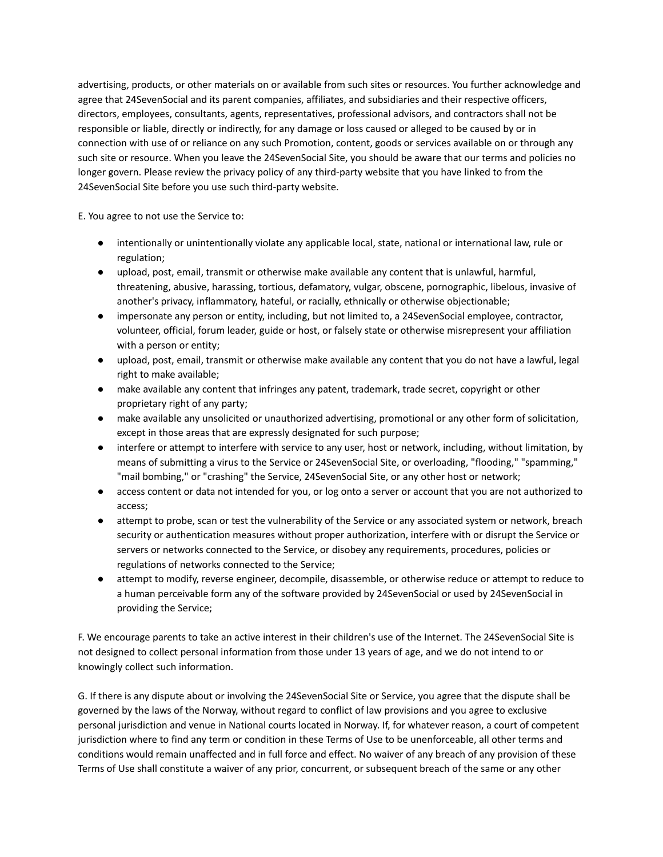advertising, products, or other materials on or available from such sites or resources. You further acknowledge and agree that 24SevenSocial and its parent companies, affiliates, and subsidiaries and their respective officers, directors, employees, consultants, agents, representatives, professional advisors, and contractors shall not be responsible or liable, directly or indirectly, for any damage or loss caused or alleged to be caused by or in connection with use of or reliance on any such Promotion, content, goods or services available on or through any such site or resource. When you leave the 24SevenSocial Site, you should be aware that our terms and policies no longer govern. Please review the privacy policy of any third-party website that you have linked to from the 24SevenSocial Site before you use such third-party website.

E. You agree to not use the Service to:

- intentionally or unintentionally violate any applicable local, state, national or international law, rule or regulation;
- upload, post, email, transmit or otherwise make available any content that is unlawful, harmful, threatening, abusive, harassing, tortious, defamatory, vulgar, obscene, pornographic, libelous, invasive of another's privacy, inflammatory, hateful, or racially, ethnically or otherwise objectionable;
- impersonate any person or entity, including, but not limited to, a 24SevenSocial employee, contractor, volunteer, official, forum leader, guide or host, or falsely state or otherwise misrepresent your affiliation with a person or entity;
- upload, post, email, transmit or otherwise make available any content that you do not have a lawful, legal right to make available;
- make available any content that infringes any patent, trademark, trade secret, copyright or other proprietary right of any party;
- make available any unsolicited or unauthorized advertising, promotional or any other form of solicitation, except in those areas that are expressly designated for such purpose;
- interfere or attempt to interfere with service to any user, host or network, including, without limitation, by means of submitting a virus to the Service or 24SevenSocial Site, or overloading, "flooding," "spamming," "mail bombing," or "crashing" the Service, 24SevenSocial Site, or any other host or network;
- access content or data not intended for you, or log onto a server or account that you are not authorized to access;
- attempt to probe, scan or test the vulnerability of the Service or any associated system or network, breach security or authentication measures without proper authorization, interfere with or disrupt the Service or servers or networks connected to the Service, or disobey any requirements, procedures, policies or regulations of networks connected to the Service;
- attempt to modify, reverse engineer, decompile, disassemble, or otherwise reduce or attempt to reduce to a human perceivable form any of the software provided by 24SevenSocial or used by 24SevenSocial in providing the Service;

F. We encourage parents to take an active interest in their children's use of the Internet. The 24SevenSocial Site is not designed to collect personal information from those under 13 years of age, and we do not intend to or knowingly collect such information.

G. If there is any dispute about or involving the 24SevenSocial Site or Service, you agree that the dispute shall be governed by the laws of the Norway, without regard to conflict of law provisions and you agree to exclusive personal jurisdiction and venue in National courts located in Norway. If, for whatever reason, a court of competent jurisdiction where to find any term or condition in these Terms of Use to be unenforceable, all other terms and conditions would remain unaffected and in full force and effect. No waiver of any breach of any provision of these Terms of Use shall constitute a waiver of any prior, concurrent, or subsequent breach of the same or any other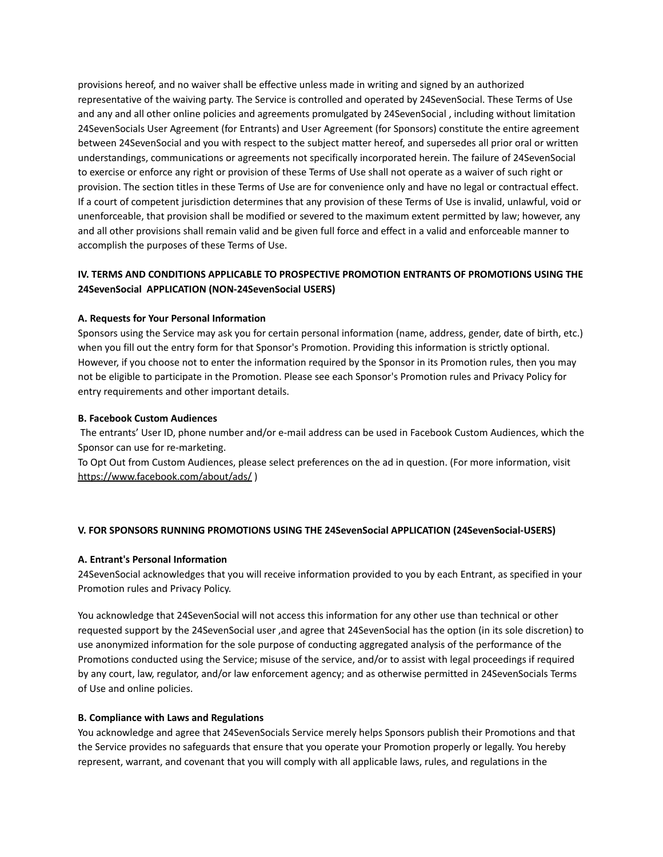provisions hereof, and no waiver shall be effective unless made in writing and signed by an authorized representative of the waiving party. The Service is controlled and operated by 24SevenSocial. These Terms of Use and any and all other online policies and agreements promulgated by 24SevenSocial , including without limitation 24SevenSocials User Agreement (for Entrants) and User Agreement (for Sponsors) constitute the entire agreement between 24SevenSocial and you with respect to the subject matter hereof, and supersedes all prior oral or written understandings, communications or agreements not specifically incorporated herein. The failure of 24SevenSocial to exercise or enforce any right or provision of these Terms of Use shall not operate as a waiver of such right or provision. The section titles in these Terms of Use are for convenience only and have no legal or contractual effect. If a court of competent jurisdiction determines that any provision of these Terms of Use is invalid, unlawful, void or unenforceable, that provision shall be modified or severed to the maximum extent permitted by law; however, any and all other provisions shall remain valid and be given full force and effect in a valid and enforceable manner to accomplish the purposes of these Terms of Use.

# **IV. TERMS AND CONDITIONS APPLICABLE TO PROSPECTIVE PROMOTION ENTRANTS OF PROMOTIONS USING THE 24SevenSocial APPLICATION (NON-24SevenSocial USERS)**

#### **A. Requests for Your Personal Information**

Sponsors using the Service may ask you for certain personal information (name, address, gender, date of birth, etc.) when you fill out the entry form for that Sponsor's Promotion. Providing this information is strictly optional. However, if you choose not to enter the information required by the Sponsor in its Promotion rules, then you may not be eligible to participate in the Promotion. Please see each Sponsor's Promotion rules and Privacy Policy for entry requirements and other important details.

#### **B. Facebook Custom Audiences**

The entrants' User ID, phone number and/or e-mail address can be used in Facebook Custom Audiences, which the Sponsor can use for re-marketing.

To Opt Out from Custom Audiences, please select preferences on the ad in question. (For more information, visit <https://www.facebook.com/about/ads/> )

#### **V. FOR SPONSORS RUNNING PROMOTIONS USING THE 24SevenSocial APPLICATION (24SevenSocial-USERS)**

#### **A. Entrant's Personal Information**

24SevenSocial acknowledges that you will receive information provided to you by each Entrant, as specified in your Promotion rules and Privacy Policy.

You acknowledge that 24SevenSocial will not access this information for any other use than technical or other requested support by the 24SevenSocial user ,and agree that 24SevenSocial has the option (in its sole discretion) to use anonymized information for the sole purpose of conducting aggregated analysis of the performance of the Promotions conducted using the Service; misuse of the service, and/or to assist with legal proceedings if required by any court, law, regulator, and/or law enforcement agency; and as otherwise permitted in 24SevenSocials Terms of Use and online policies.

## **B. Compliance with Laws and Regulations**

You acknowledge and agree that 24SevenSocials Service merely helps Sponsors publish their Promotions and that the Service provides no safeguards that ensure that you operate your Promotion properly or legally. You hereby represent, warrant, and covenant that you will comply with all applicable laws, rules, and regulations in the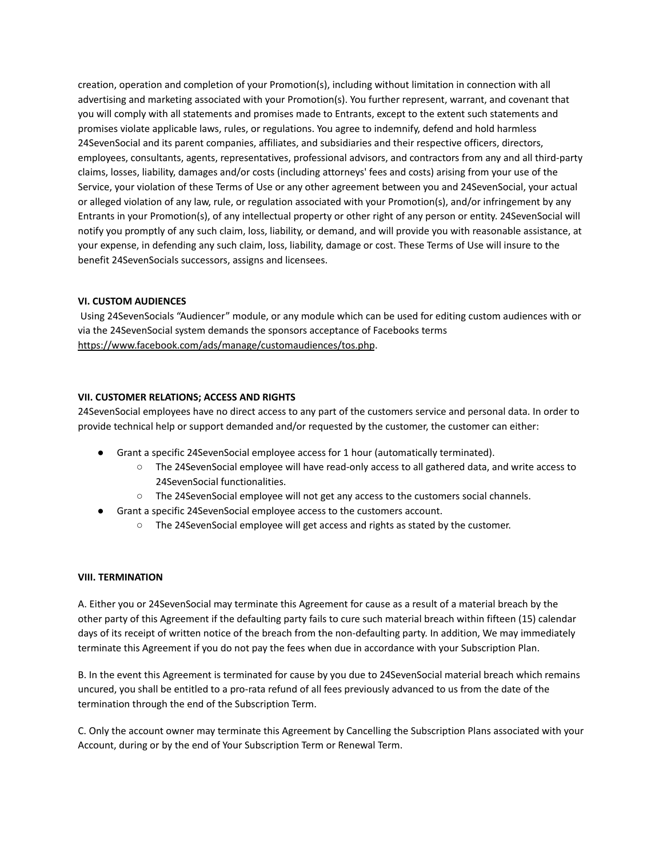creation, operation and completion of your Promotion(s), including without limitation in connection with all advertising and marketing associated with your Promotion(s). You further represent, warrant, and covenant that you will comply with all statements and promises made to Entrants, except to the extent such statements and promises violate applicable laws, rules, or regulations. You agree to indemnify, defend and hold harmless 24SevenSocial and its parent companies, affiliates, and subsidiaries and their respective officers, directors, employees, consultants, agents, representatives, professional advisors, and contractors from any and all third-party claims, losses, liability, damages and/or costs (including attorneys' fees and costs) arising from your use of the Service, your violation of these Terms of Use or any other agreement between you and 24SevenSocial, your actual or alleged violation of any law, rule, or regulation associated with your Promotion(s), and/or infringement by any Entrants in your Promotion(s), of any intellectual property or other right of any person or entity. 24SevenSocial will notify you promptly of any such claim, loss, liability, or demand, and will provide you with reasonable assistance, at your expense, in defending any such claim, loss, liability, damage or cost. These Terms of Use will insure to the benefit 24SevenSocials successors, assigns and licensees.

## **VI. CUSTOM AUDIENCES**

Using 24SevenSocials "Audiencer" module, or any module which can be used for editing custom audiences with or via the 24SevenSocial system demands the sponsors acceptance of Facebooks terms <https://www.facebook.com/ads/manage/customaudiences/tos.php>.

## **VII. CUSTOMER RELATIONS; ACCESS AND RIGHTS**

24SevenSocial employees have no direct access to any part of the customers service and personal data. In order to provide technical help or support demanded and/or requested by the customer, the customer can either:

- Grant a specific 24SevenSocial employee access for 1 hour (automatically terminated).
	- The 24SevenSocial employee will have read-only access to all gathered data, and write access to 24SevenSocial functionalities.
	- The 24SevenSocial employee will not get any access to the customers social channels.
- Grant a specific 24SevenSocial employee access to the customers account.
	- The 24SevenSocial employee will get access and rights as stated by the customer.

### **VIII. TERMINATION**

A. Either you or 24SevenSocial may terminate this Agreement for cause as a result of a material breach by the other party of this Agreement if the defaulting party fails to cure such material breach within fifteen (15) calendar days of its receipt of written notice of the breach from the non-defaulting party. In addition, We may immediately terminate this Agreement if you do not pay the fees when due in accordance with your Subscription Plan.

B. In the event this Agreement is terminated for cause by you due to 24SevenSocial material breach which remains uncured, you shall be entitled to a pro-rata refund of all fees previously advanced to us from the date of the termination through the end of the Subscription Term.

C. Only the account owner may terminate this Agreement by Cancelling the Subscription Plans associated with your Account, during or by the end of Your Subscription Term or Renewal Term.